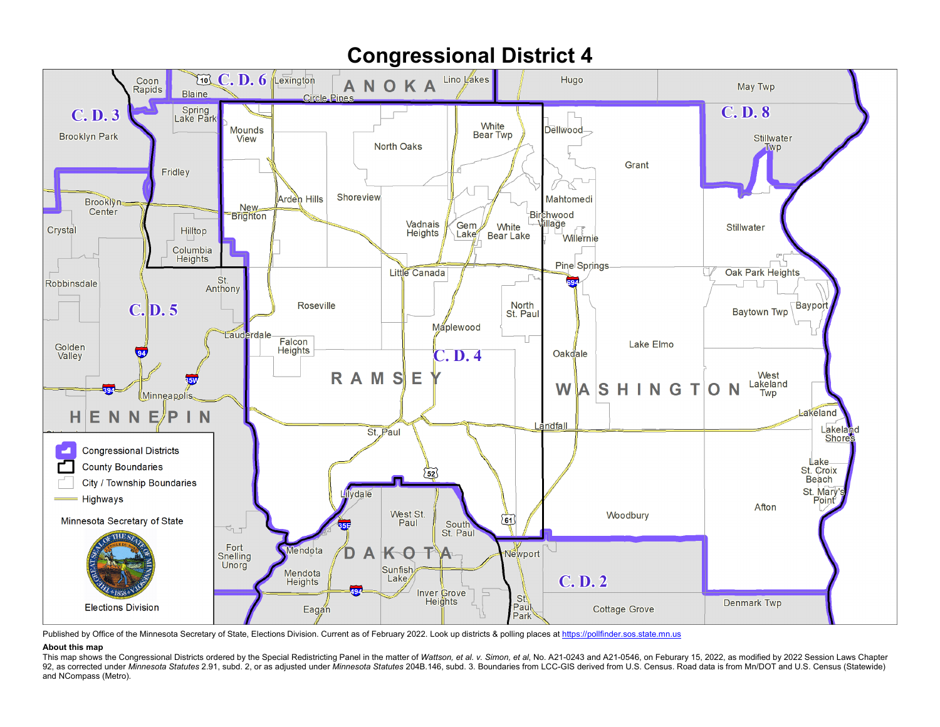

Published by Office of the Minnesota Secretary of State, Elections Division. Current as of February 2022. Look up districts & polling places a[t https://pollfinder.sos.state.mn.us](https://pollfinder.sos.state.mn.us/)

## **About this map**

This map shows the Congressional Districts ordered by the Special Redistricting Panel in the matter of Wattson, et al. v. Simon, et al. No. A21-0243 and A21-0546, on Feburary 15, 2022, as modified by 2022 Session Laws Chap 92, as corrected under Minnesota Statutes 2.91, subd. 2, or as adjusted under Minnesota Statutes 204B.146, subd. 3. Boundaries from LCC-GIS derived from U.S. Census. Road data is from Mn/DOT and U.S. Census (Statewide) and NCompass (Metro).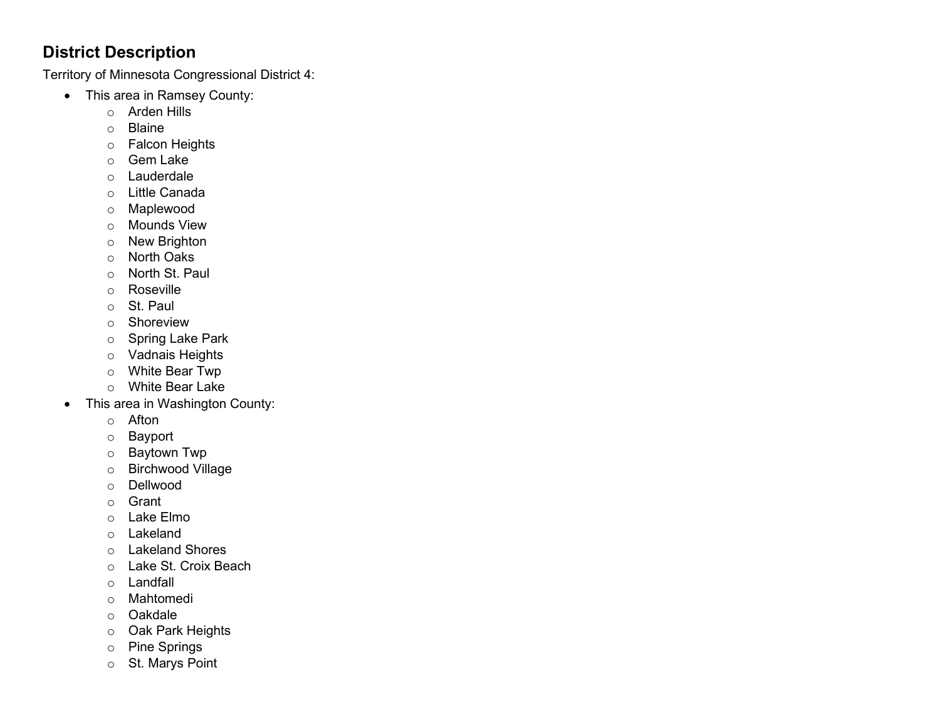## **District Description**

Territory of Minnesota Congressional District 4:

- This area in Ramsey County:
	- o Arden Hills
	- o Blaine
	- o Falcon Heights
	- o Gem Lake
	- o Lauderdale
	- o Little Canada
	- o Maplewood
	- o Mounds View
	- o New Brighton
	- o North Oaks
	- o North St. Paul
	- o Roseville
	- o St. Paul
	- o Shoreview
	- o Spring Lake Park
	- o Vadnais Heights
	- o White Bear Twp
	- o White Bear Lake
- This area in Washington County:
	- o Afton
	- o Bayport
	- o Baytown Twp
	- o Birchwood Village
	- o Dellwood
	- o Grant
	- o Lake Elmo
	- o Lakeland
	- o Lakeland Shores
	- o Lake St. Croix Beach
	- o Landfall
	- o Mahtomedi
	- o Oakdale
	- o Oak Park Heights
	- o Pine Springs
	- o St. Marys Point